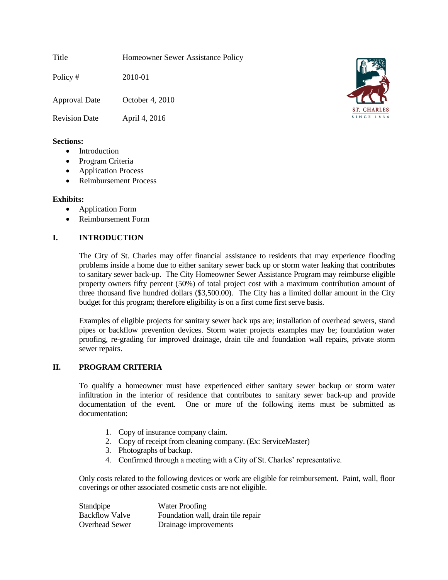Title Homeowner Sewer Assistance Policy

Policy # 2010-01 Approval Date October 4, 2010

Revision Date April 4, 2016

# **Sections:**

- Introduction
- Program Criteria
- Application Process
- Reimbursement Process

# **Exhibits:**

- Application Form
- Reimbursement Form

# **I. INTRODUCTION**

The City of St. Charles may offer financial assistance to residents that may experience flooding problems inside a home due to either sanitary sewer back up or storm water leaking that contributes to sanitary sewer back-up. The City Homeowner Sewer Assistance Program may reimburse eligible property owners fifty percent (50%) of total project cost with a maximum contribution amount of three thousand five hundred dollars (\$3,500.00). The City has a limited dollar amount in the City budget for this program; therefore eligibility is on a first come first serve basis.

Examples of eligible projects for sanitary sewer back ups are; installation of overhead sewers, stand pipes or backflow prevention devices. Storm water projects examples may be; foundation water proofing, re-grading for improved drainage, drain tile and foundation wall repairs, private storm sewer repairs.

## **II. PROGRAM CRITERIA**

To qualify a homeowner must have experienced either sanitary sewer backup or storm water infiltration in the interior of residence that contributes to sanitary sewer back-up and provide documentation of the event. One or more of the following items must be submitted as documentation:

- 1. Copy of insurance company claim.
- 2. Copy of receipt from cleaning company. (Ex: ServiceMaster)
- 3. Photographs of backup.
- 4. Confirmed through a meeting with a City of St. Charles' representative.

Only costs related to the following devices or work are eligible for reimbursement. Paint, wall, floor coverings or other associated cosmetic costs are not eligible.

| Standpipe             | <b>Water Proofing</b>              |
|-----------------------|------------------------------------|
| <b>Backflow Valve</b> | Foundation wall, drain tile repair |
| <b>Overhead Sewer</b> | Drainage improvements              |